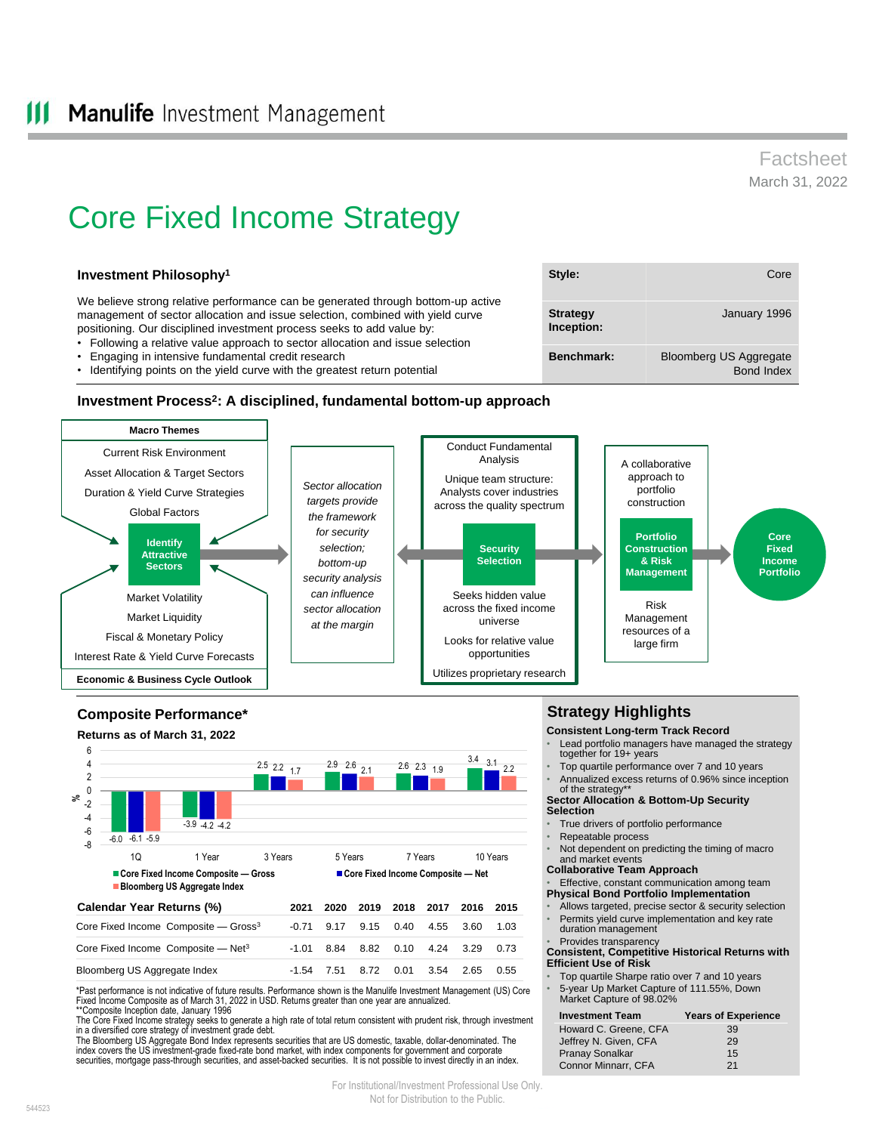# Factsheet March 31, 2022

January 1996

Bond Index

# Core Fixed Income Strategy

## **Investment Philosophy<sup>1</sup>**

We believe strong relative performance can be generated through bottom-up active management of sector allocation and issue selection, combined with yield curve positioning. Our disciplined investment process seeks to add value by:

- Following a relative value approach to sector allocation and issue selection
- Engaging in intensive fundamental credit research
- Identifying points on the yield curve with the greatest return potential

#### **Investment Process<sup>2</sup> : A disciplined, fundamental bottom-up approach**



#### -6.0  $-3.9$   $-4.2$   $-4.2$  $2.5$  2.2  $1.7$   $2.9$   $2.6$   $2.1$   $2.6$   $2.3$   $1.9$   $3.4$   $3.1$   $2.2$ -6.1 -5.9 2.5 2.2  $\frac{17}{2}$   $\frac{2.9}{2}$   $\frac{2.6}{21}$   $\frac{2.6}{21}$   $\frac{2.3}{21}$   $\frac{3.4}{21}$   $\frac{3.1}{22}$ -8 -6 -4 -2 0 2 4 6 1Q 1 Year 3 Years 5 Years 7 Years 10 Years **Core Fixed Income Composite — Gross Core Fixed Income Composite — Net Bloomberg US Aggregate Index Composite Performance\* Returns as of March 31, 2022 Calendar Year Returns (%) % 2021 2020 2019 2018 2017 2016 2015**  Core Fixed Income Composite - Gross<sup>3</sup> -0.71 9.17 9.15 0.40 4.55 3.60 1.03 Core Fixed Income Composite — Net<sup>3</sup> -1.01 8.84 8.82 0.10 4.24 3.29 0.73 Bloomberg US Aggregate Index -1.54 7.51 8.72 0.01 3.54 2.65 0.55

\*Past performance is not indicative of future results. Performance shown is the Manulife Investment Management (US) Core Fixed Income Composite as of March 31, 2022 in USD. Returns greater than one year are annualized. \*\*Composite Inception date, January 1996

The Core Fixed Income strategy seeks to generate a high rate of total return consistent with prudent risk, through investment in a diversified core strategy of investment grade debt.

The Bloomberg US Aggregate Bond Index represents securities that are US domestic, taxable, dollar-denominated. The<br>index covers the US investment-grade fixed-rate bond market, with index components for government and corpo securities, mortgage pass-through securities, and asset-backed securities. It is not possible to invest directly in an index.

## **Strategy Highlights**

**Consistent Long-term Track Record**

Lead portfolio managers have managed the strategy together for 19+ years

**Style:** Core

**Benchmark:** Bloomberg US Aggregate

**Strategy Inception:**

- Top quartile performance over 7 and 10 years • Annualized excess returns of 0.96% since inception
- of the strategy **Sector Allocation & Bottom-Up Security**

#### **Selection**

- True drivers of portfolio performance
- Repeatable process
- Not dependent on predicting the timing of macro and market events
- **Collaborative Team Approach**
- Effective, constant communication among team
- **Physical Bond Portfolio Implementation**
- Allows targeted, precise sector & security selection Permits yield curve implementation and key rate duration management
- Provides transparency **Consistent, Competitive Historical Returns with**

**Efficient Use of Risk**

- Top quartile Sharpe ratio over 7 and 10 years
- 5-year Up Market Capture of 111.55%, Down Market Capture of 98.02%

| <b>Investment Team</b> | <b>Years of Experience</b> |
|------------------------|----------------------------|
| Howard C. Greene, CFA  | 39                         |
| Jeffrey N. Given, CFA  | 29                         |
| <b>Pranay Sonalkar</b> | 15                         |
| Connor Minnarr, CFA    | 21                         |